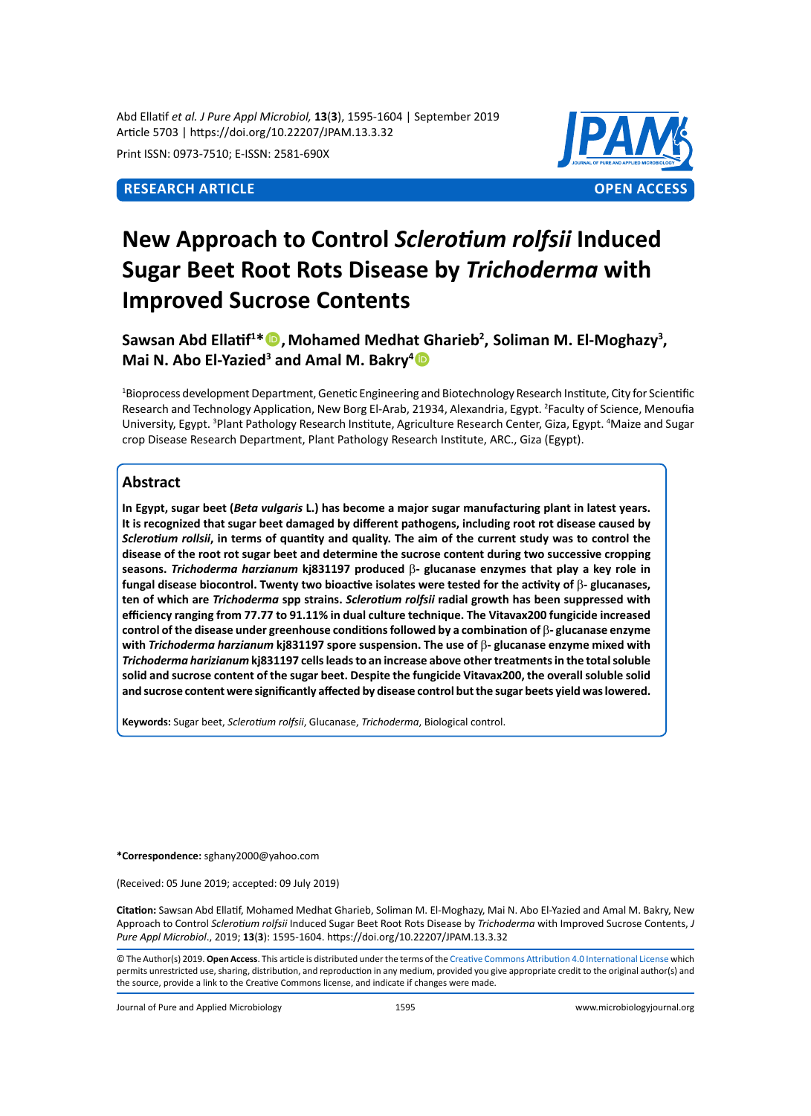Abd Ellatif *et al. J Pure Appl Microbiol,* **13**(**3**), 1595-1604 | September 2019 Article 5703 | https://doi.org/10.22207/JPAM.13.3.32

Print ISSN: 0973-7510; E-ISSN: 2581-690X



# **New Approach to Control** *Sclerotium rolfsii* **Induced Sugar Beet Root Rots Disease by** *Trichoderma* **with Improved Sucrose Contents**

Sawsan Abd Ellatif<sup>1\*</sup> <sup>1</sup>, Mohamed Medhat Gharieb<sup>2</sup>, Soliman M. El-Moghazy<sup>3</sup>, **Mai N. Abo El-Yazied<sup>3</sup> and Amal M. Bakry<sup>4</sup><sup>1</sup>** 

1 Bioprocess development Department, Genetic Engineering and Biotechnology Research Institute, City for Scientific Research and Technology Application, New Borg El-Arab, 21934, Alexandria, Egypt. <sup>2</sup>Faculty of Science, Menoufia University, Egypt. <sup>3</sup>Plant Pathology Research Institute, Agriculture Research Center, Giza, Egypt. <sup>4</sup>Maize and Sugar crop Disease Research Department, Plant Pathology Research Institute, ARC., Giza (Egypt).

## **Abstract**

**In Egypt, sugar beet (***Beta vulgaris* **L.) has become a major sugar manufacturing plant in latest years. It is recognized that sugar beet damaged by different pathogens, including root rot disease caused by**  *Sclerotium rollsii***, in terms of quantity and quality. The aim of the current study was to control the disease of the root rot sugar beet and determine the sucrose content during two successive cropping seasons.** *Trichoderma harzianum* **kj831197 produced** b**- glucanase enzymes that play a key role in fungal disease biocontrol. Twenty two bioactive isolates were tested for the activity of** b**- glucanases, ten of which are** *Trichoderma* **spp strains.** *Sclerotium rolfsii* **radial growth has been suppressed with efficiency ranging from 77.77 to 91.11% in dual culture technique. The Vitavax200 fungicide increased control of the disease under greenhouse conditions followed by a combination of** b**- glucanase enzyme with** *Trichoderma harzianum* **kj831197 spore suspension. The use of** b**- glucanase enzyme mixed with**  *Trichoderma harizianum* **kj831197 cells leads to an increase above other treatments in the total soluble solid and sucrose content of the sugar beet. Despite the fungicide Vitavax200, the overall soluble solid and sucrose content were significantly affected by disease control but the sugar beets yield was lowered.**

**Keywords:** Sugar beet, *Sclerotium rolfsii*, Glucanase, *Trichoderma*, Biological control.

**\*Correspondence:** sghany2000@yahoo.com

(Received: 05 June 2019; accepted: 09 July 2019)

**Citation:** Sawsan Abd Ellatif, Mohamed Medhat Gharieb, Soliman M. El-Moghazy, Mai N. Abo El-Yazied and Amal M. Bakry, New Approach to Control *Sclerotium rolfsii* Induced Sugar Beet Root Rots Disease by *Trichoderma* with Improved Sucrose Contents, *J Pure Appl Microbiol*., 2019; **13**(**3**): 1595-1604. https://doi.org/10.22207/JPAM.13.3.32

© The Author(s) 2019. **Open Access**. This article is distributed under the terms of the [Creative Commons Attribution 4.0 International License](https://creativecommons.org/licenses/by/4.0/) which permits unrestricted use, sharing, distribution, and reproduction in any medium, provided you give appropriate credit to the original author(s) and the source, provide a link to the Creative Commons license, and indicate if changes were made.

Journal of Pure and Applied Microbiology 1595 www.microbiologyjournal.org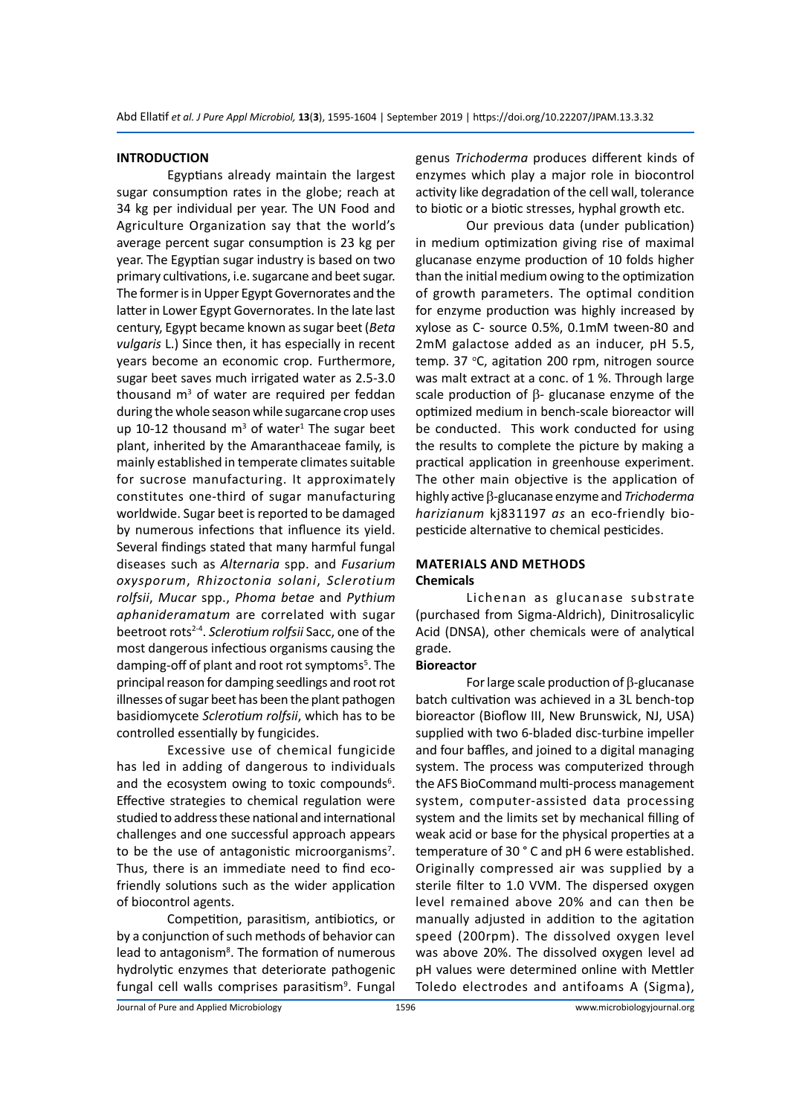#### **INTRODUCTION**

Egyptians already maintain the largest sugar consumption rates in the globe; reach at 34 kg per individual per year. The UN Food and Agriculture Organization say that the world's average percent sugar consumption is 23 kg per year. The Egyptian sugar industry is based on two primary cultivations, i.e. sugarcane and beet sugar. The former is in Upper Egypt Governorates and the latter in Lower Egypt Governorates. In the late last century, Egypt became known as sugar beet (*Beta vulgaris* L.) Since then, it has especially in recent years become an economic crop. Furthermore, sugar beet saves much irrigated water as 2.5-3.0 thousand  $m<sup>3</sup>$  of water are required per feddan during the whole season while sugarcane crop uses up 10-12 thousand  $m<sup>3</sup>$  of water<sup>1</sup> The sugar beet plant, inherited by the Amaranthaceae family, is mainly established in temperate climates suitable for sucrose manufacturing. It approximately constitutes one-third of sugar manufacturing worldwide. Sugar beet is reported to be damaged by numerous infections that influence its yield. Several findings stated that many harmful fungal diseases such as *Alternaria* spp. and *Fusarium oxysporum*, *Rhizoctonia solani*, *Sclerotium rolfsii*, *Mucar* spp., *Phoma betae* and *Pythium aphanideramatum* are correlated with sugar beetroot rots2-4. *Sclerotium rolfsii* Sacc, one of the most dangerous infectious organisms causing the damping-off of plant and root rot symptoms<sup>5</sup>. The principal reason for damping seedlings and root rot illnesses of sugar beet has been the plant pathogen basidiomycete *Sclerotium rolfsii*, which has to be controlled essentially by fungicides.

Excessive use of chemical fungicide has led in adding of dangerous to individuals and the ecosystem owing to toxic compounds<sup>6</sup>. Effective strategies to chemical regulation were studied to address these national and international challenges and one successful approach appears to be the use of antagonistic microorganisms<sup>7</sup>. Thus, there is an immediate need to find ecofriendly solutions such as the wider application of biocontrol agents.

Competition, parasitism, antibiotics, or by a conjunction of such methods of behavior can lead to antagonism<sup>8</sup>. The formation of numerous hydrolytic enzymes that deteriorate pathogenic fungal cell walls comprises parasitism<sup>9</sup>. Fungal genus *Trichoderma* produces different kinds of enzymes which play a major role in biocontrol activity like degradation of the cell wall, tolerance to biotic or a biotic stresses, hyphal growth etc.

Our previous data (under publication) in medium optimization giving rise of maximal glucanase enzyme production of 10 folds higher than the initial medium owing to the optimization of growth parameters. The optimal condition for enzyme production was highly increased by xylose as C- source 0.5%, 0.1mM tween-80 and 2mM galactose added as an inducer, pH 5.5, temp. 37 °C, agitation 200 rpm, nitrogen source was malt extract at a conc. of 1 %. Through large scale production of  $\beta$ - glucanase enzyme of the optimized medium in bench-scale bioreactor will be conducted. This work conducted for using the results to complete the picture by making a practical application in greenhouse experiment. The other main objective is the application of highly active b-glucanase enzyme and *Trichoderma harizianum* kj831197 *as* an eco-friendly biopesticide alternative to chemical pesticides.

#### **MATERIALS AND METHODS Chemicals**

Lichenan as glucanase substrate (purchased from Sigma-Aldrich), Dinitrosalicylic Acid (DNSA), other chemicals were of analytical grade.

#### **Bioreactor**

For large scale production of  $\beta$ -glucanase batch cultivation was achieved in a 3L bench-top bioreactor (Bioflow III, New Brunswick, NJ, USA) supplied with two 6-bladed disc-turbine impeller and four baffles, and joined to a digital managing system. The process was computerized through the AFS BioCommand multi-process management system, computer-assisted data processing system and the limits set by mechanical filling of weak acid or base for the physical properties at a temperature of 30 ° C and pH 6 were established. Originally compressed air was supplied by a sterile filter to 1.0 VVM. The dispersed oxygen level remained above 20% and can then be manually adjusted in addition to the agitation speed (200rpm). The dissolved oxygen level was above 20%. The dissolved oxygen level ad pH values were determined online with Mettler Toledo electrodes and antifoams A (Sigma),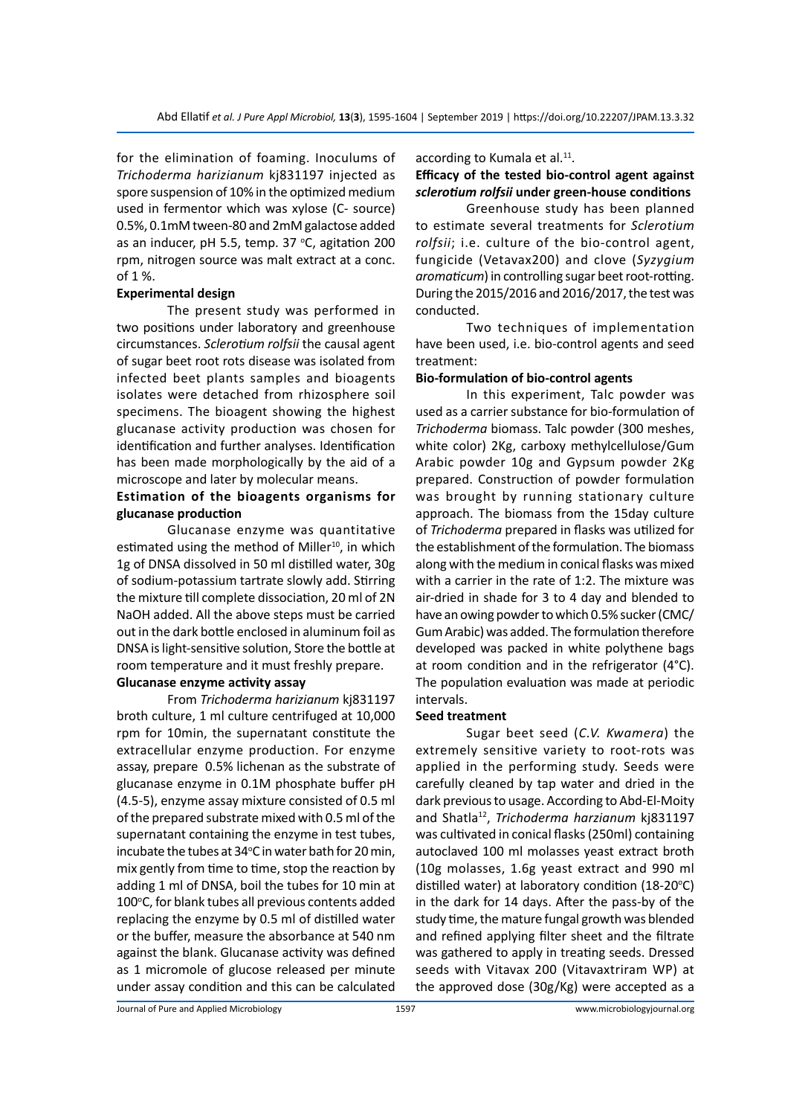for the elimination of foaming. Inoculums of *Trichoderma harizianum* kj831197 injected as spore suspension of 10% in the optimized medium used in fermentor which was xylose (C- source) 0.5%, 0.1mM tween-80 and 2mM galactose added as an inducer, pH 5.5, temp. 37  $\degree$ C, agitation 200 rpm, nitrogen source was malt extract at a conc. of 1 %.

#### **Experimental design**

The present study was performed in two positions under laboratory and greenhouse circumstances. *Sclerotium rolfsii* the causal agent of sugar beet root rots disease was isolated from infected beet plants samples and bioagents isolates were detached from rhizosphere soil specimens. The bioagent showing the highest glucanase activity production was chosen for identification and further analyses. Identification has been made morphologically by the aid of a microscope and later by molecular means.

### **Estimation of the bioagents organisms for glucanase production**

Glucanase enzyme was quantitative estimated using the method of Miller<sup>10</sup>, in which 1g of DNSA dissolved in 50 ml distilled water, 30g of sodium-potassium tartrate slowly add. Stirring the mixture till complete dissociation, 20 ml of 2N NaOH added. All the above steps must be carried out in the dark bottle enclosed in aluminum foil as DNSA is light-sensitive solution, Store the bottle at room temperature and it must freshly prepare.

#### **Glucanase enzyme activity assay**

From *Trichoderma harizianum* kj831197 broth culture, 1 ml culture centrifuged at 10,000 rpm for 10min, the supernatant constitute the extracellular enzyme production. For enzyme assay, prepare 0.5% lichenan as the substrate of glucanase enzyme in 0.1M phosphate buffer pH (4.5-5), enzyme assay mixture consisted of 0.5 ml of the prepared substrate mixed with 0.5 ml of the supernatant containing the enzyme in test tubes, incubate the tubes at 34°C in water bath for 20 min, mix gently from time to time, stop the reaction by adding 1 ml of DNSA, boil the tubes for 10 min at 100°C, for blank tubes all previous contents added replacing the enzyme by 0.5 ml of distilled water or the buffer, measure the absorbance at 540 nm against the blank. Glucanase activity was defined as 1 micromole of glucose released per minute under assay condition and this can be calculated

according to Kumala et al.<sup>11</sup>.

# **Efficacy of the tested bio-control agent against**  *sclerotium rolfsii* **under green-house conditions**

Greenhouse study has been planned to estimate several treatments for *Sclerotium rolfsii*; i.e. culture of the bio-control agent, fungicide (Vetavax200) and clove (*Syzygium*  aromaticum) in controlling sugar beet root-rotting. During the 2015/2016 and 2016/2017, the test was conducted.

Two techniques of implementation have been used, i.e. bio-control agents and seed treatment:

#### **Bio-formulation of bio-control agents**

In this experiment, Talc powder was used as a carrier substance for bio-formulation of *Trichoderma* biomass. Talc powder (300 meshes, white color) 2Kg, carboxy methylcellulose/Gum Arabic powder 10g and Gypsum powder 2Kg prepared. Construction of powder formulation was brought by running stationary culture approach. The biomass from the 15day culture of *Trichoderma* prepared in flasks was utilized for the establishment of the formulation. The biomass along with the medium in conical flasks was mixed with a carrier in the rate of 1:2. The mixture was air-dried in shade for 3 to 4 day and blended to have an owing powder to which 0.5% sucker (CMC/ Gum Arabic) was added. The formulation therefore developed was packed in white polythene bags at room condition and in the refrigerator (4°C). The population evaluation was made at periodic intervals.

#### **Seed treatment**

Sugar beet seed (*C.V. Kwamera*) the extremely sensitive variety to root-rots was applied in the performing study. Seeds were carefully cleaned by tap water and dried in the dark previous to usage. According to Abd-El-Moity and Shatla12, *Trichoderma harzianum* kj831197 was cultivated in conical flasks (250ml) containing autoclaved 100 ml molasses yeast extract broth (10g molasses, 1.6g yeast extract and 990 ml distilled water) at laboratory condition (18-20 $\textdegree$ C) in the dark for 14 days. After the pass-by of the study time, the mature fungal growth was blended and refined applying filter sheet and the filtrate was gathered to apply in treating seeds. Dressed seeds with Vitavax 200 (Vitavaxtriram WP) at the approved dose (30g/Kg) were accepted as a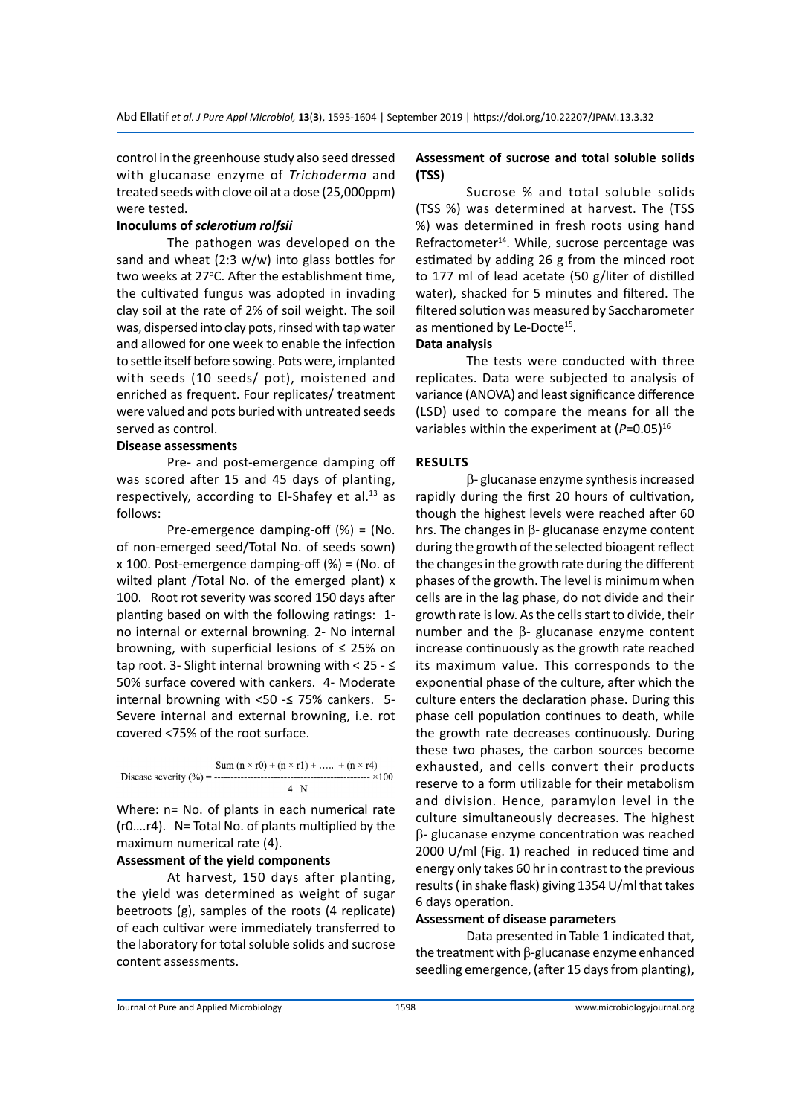control in the greenhouse study also seed dressed with glucanase enzyme of *Trichoderma* and treated seeds with clove oil at a dose (25,000ppm) were tested.

#### **Inoculums of** *sclerotium rolfsii*

The pathogen was developed on the sand and wheat (2:3 w/w) into glass bottles for two weeks at 27°C. After the establishment time, the cultivated fungus was adopted in invading clay soil at the rate of 2% of soil weight. The soil was, dispersed into clay pots, rinsed with tap water and allowed for one week to enable the infection to settle itself before sowing. Pots were, implanted with seeds (10 seeds/ pot), moistened and enriched as frequent. Four replicates/ treatment were valued and pots buried with untreated seeds served as control.

#### **Disease assessments**

Pre- and post-emergence damping off was scored after 15 and 45 days of planting, respectively, according to El-Shafey et al. $^{13}$  as follows:

Pre-emergence damping-off (%) = (No. of non-emerged seed/Total No. of seeds sown) x 100. Post-emergence damping-off (%) = (No. of wilted plant /Total No. of the emerged plant) x 100. Root rot severity was scored 150 days after planting based on with the following ratings: 1 no internal or external browning. 2- No internal browning, with superficial lesions of ≤ 25% on tap root. 3- Slight internal browning with < 25 - ≤ 50% surface covered with cankers. 4- Moderate internal browning with <50  $\leq$  75% cankers. 5-Severe internal and external browning, i.e. rot covered <75% of the root surface.

$$
\text{Disease severity } (\%) = \frac{\text{Sum (n × r0) + (n × r1) + ... + (n × r4)}}{4 \text{ N}} \times 100
$$

Where: n= No. of plants in each numerical rate (r0….r4). N= Total No. of plants multiplied by the maximum numerical rate (4).

#### **Assessment of the yield components**

At harvest, 150 days after planting, the yield was determined as weight of sugar beetroots (g), samples of the roots (4 replicate) of each cultivar were immediately transferred to the laboratory for total soluble solids and sucrose content assessments.

#### **Assessment of sucrose and total soluble solids (TSS)**

Sucrose % and total soluble solids (TSS %) was determined at harvest. The (TSS %) was determined in fresh roots using hand Refractometer<sup>14</sup>. While, sucrose percentage was estimated by adding 26 g from the minced root to 177 ml of lead acetate (50 g/liter of distilled water), shacked for 5 minutes and filtered. The filtered solution was measured by Saccharometer as mentioned by Le-Docte<sup>15</sup>.

#### **Data analysis**

The tests were conducted with three replicates. Data were subjected to analysis of variance (ANOVA) and least significance difference (LSD) used to compare the means for all the variables within the experiment at ( $P=0.05$ )<sup>16</sup>

#### **RESULTS**

b- glucanase enzyme synthesis increased rapidly during the first 20 hours of cultivation, though the highest levels were reached after 60 hrs. The changes in  $\beta$ - glucanase enzyme content during the growth of the selected bioagent reflect the changes in the growth rate during the different phases of the growth. The level is minimum when cells are in the lag phase, do not divide and their growth rate is low. As the cells start to divide, their number and the  $\beta$ - glucanase enzyme content increase continuously as the growth rate reached its maximum value. This corresponds to the exponential phase of the culture, after which the culture enters the declaration phase. During this phase cell population continues to death, while the growth rate decreases continuously. During these two phases, the carbon sources become exhausted, and cells convert their products reserve to a form utilizable for their metabolism and division. Hence, paramylon level in the culture simultaneously decreases. The highest  $\beta$ - glucanase enzyme concentration was reached 2000 U/ml (Fig. 1) reached in reduced time and energy only takes 60 hr in contrast to the previous results ( in shake flask) giving 1354 U/ml that takes 6 days operation.

#### **Assessment of disease parameters**

Data presented in Table 1 indicated that, the treatment with  $\beta$ -glucanase enzyme enhanced seedling emergence, (after 15 days from planting),

Journal of Pure and Applied Microbiology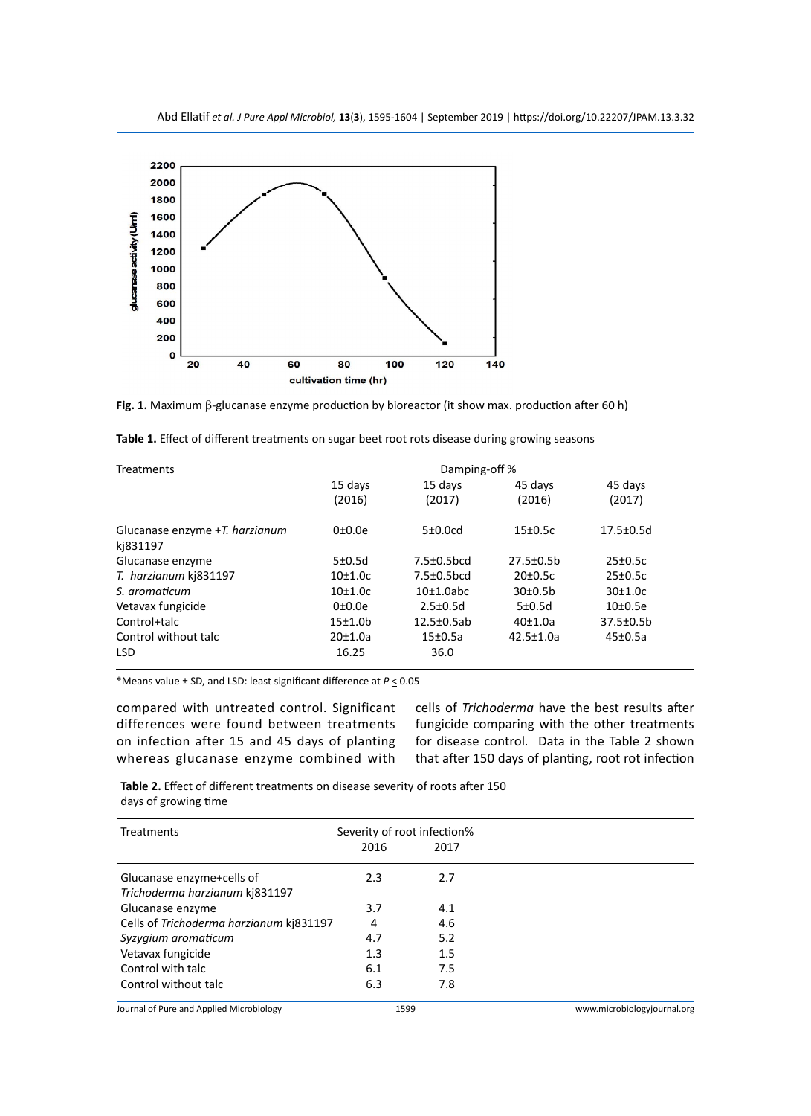

**Fig. 1.** Maximum β-glucanase enzyme production by bioreactor (it show max. production after 60 h)

|  |  |  |  |  |  |  |  | Table 1. Effect of different treatments on sugar beet root rots disease during growing seasons |
|--|--|--|--|--|--|--|--|------------------------------------------------------------------------------------------------|
|--|--|--|--|--|--|--|--|------------------------------------------------------------------------------------------------|

| <b>Treatments</b>              | Damping-off % |                   |                                  |                      |  |
|--------------------------------|---------------|-------------------|----------------------------------|----------------------|--|
|                                | 15 days       | 15 days           | 45 days                          | 45 days              |  |
|                                | (2016)        | (2017)            | (2016)                           | (2017)               |  |
| Glucanase enzyme +T. harzianum | 0±0.0e        | 5±0.0cd           | $15\pm0.5c$                      | $17.5 \pm 0.5$ d     |  |
| kj831197                       |               |                   |                                  |                      |  |
| Glucanase enzyme               | $5\pm0.5d$    | $7.5 \pm 0.5$ bcd | $27.5 \pm 0.5$ b                 | $25\pm0.5c$          |  |
| T. harzianum kj831197          | 10±1.0c       | $7.5 \pm 0.5$ bcd | $20 \pm 0.5c$                    | $25\pm0.5c$          |  |
| S. aromaticum                  | 10±1.0c       | 10±1.0abc         | 30 <sub>±</sub> 0.5 <sub>b</sub> | 30±1.0c              |  |
| Vetavax fungicide              | 0±0.0e        | $2.5 \pm 0.5$ d   | 5±0.5d                           | 10 <sub>±</sub> 0.5e |  |
| Control+talc                   | $15+1.0b$     | $12.5 \pm 0.5$ ab | 40±1.0a                          | 37.5±0.5b            |  |
| Control without talc           | 20±1.0a       | $15\pm0.5a$       | $42.5 \pm 1.0a$                  | $45\pm0.5a$          |  |
| <b>LSD</b>                     | 16.25         | 36.0              |                                  |                      |  |

\*Means value ± SD, and LSD: least significant difference at *P* < 0.05

compared with untreated control. Significant differences were found between treatments on infection after 15 and 45 days of planting whereas glucanase enzyme combined with cells of *Trichoderma* have the best results after fungicide comparing with the other treatments for disease control*.* Data in the Table 2 shown that after 150 days of planting, root rot infection

**Table 2.** Effect of different treatments on disease severity of roots after 150 days of growing time

| Treatments                               | Severity of root infection% |      |                             |
|------------------------------------------|-----------------------------|------|-----------------------------|
|                                          | 2016                        | 2017 |                             |
| Glucanase enzyme+cells of                | 2.3                         | 2.7  |                             |
| Trichoderma harzianum kj831197           |                             |      |                             |
| Glucanase enzyme                         | 3.7                         | 4.1  |                             |
| Cells of Trichoderma harzianum kj831197  | 4                           | 4.6  |                             |
| Syzygium aromaticum                      | 4.7                         | 5.2  |                             |
| Vetavax fungicide                        | 1.3                         | 1.5  |                             |
| Control with talc                        | 6.1                         | 7.5  |                             |
| Control without talc                     | 6.3                         | 7.8  |                             |
| Journal of Pure and Applied Microbiology | 1599                        |      | www.microbiologyjournal.org |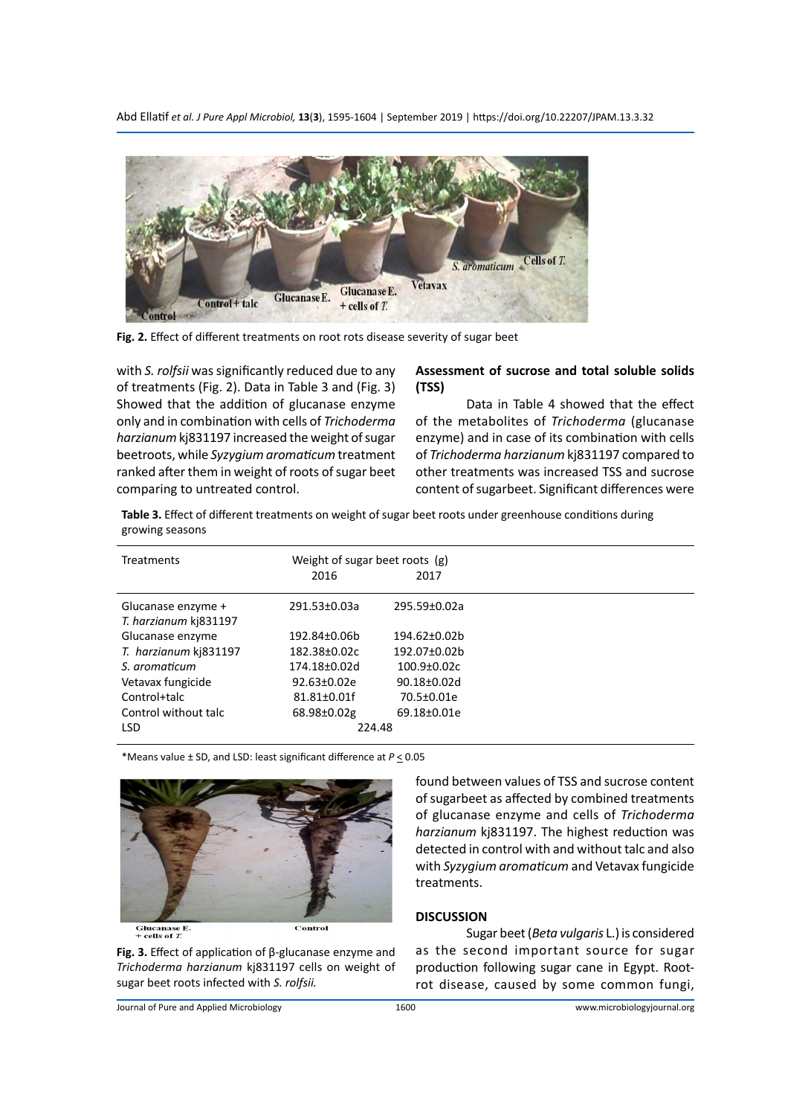Abd Ellatif *et al. J Pure Appl Microbiol,* **13**(**3**), 1595-1604 | September 2019 | https://doi.org/10.22207/JPAM.13.3.32



**Fig. 2.** Effect of different treatments on root rots disease severity of sugar beet

with *S. rolfsii* was significantly reduced due to any of treatments (Fig. 2). Data in Table 3 and (Fig. 3) Showed that the addition of glucanase enzyme only and in combination with cells of *Trichoderma harzianum* kj831197 increased the weight of sugar beetroots, while *Syzygium aromaticum* treatment ranked after them in weight of roots of sugar beet comparing to untreated control.

#### **Assessment of sucrose and total soluble solids (TSS)**

Data in Table 4 showed that the effect of the metabolites of *Trichoderma* (glucanase enzyme) and in case of its combination with cells of *Trichoderma harzianum* kj831197 compared to other treatments was increased TSS and sucrose content of sugarbeet. Significant differences were

**Table 3.** Effect of different treatments on weight of sugar beet roots under greenhouse conditions during growing seasons

| <b>Treatments</b>                           | Weight of sugar beet roots (g)<br>2016 | 2017               |
|---------------------------------------------|----------------------------------------|--------------------|
| Glucanase enzyme +<br>T. harzianum kj831197 | 291.53±0.03a                           | 295.59±0.02a       |
| Glucanase enzyme                            | 192.84±0.06b                           | 194.62±0.02b       |
| T. harzianum kj831197                       | 182.38±0.02c                           | 192.07±0.02b       |
| S. aromaticum                               | 174.18±0.02d                           | $100.9 \pm 0.02c$  |
| Vetavax fungicide                           | $92.63 \pm 0.02e$                      | $90.18 \pm 0.02$ d |
| Control+talc                                | 81.81±0.01f                            | 70.5±0.01e         |
| Control without talc                        | 68.98±0.02g                            | 69.18±0.01e        |
| <b>LSD</b>                                  | 224.48                                 |                    |

\*Means value ± SD, and LSD: least significant difference at *P* < 0.05



Glucanase  $E$ .<br>+ cells of  $T$ .

**Fig. 3.** Effect of application of β-glucanase enzyme and *Trichoderma harzianum* kj831197 cells on weight of sugar beet roots infected with *S. rolfsii.* 

found between values of TSS and sucrose content of sugarbeet as affected by combined treatments of glucanase enzyme and cells of *Trichoderma harzianum* kj831197. The highest reduction was detected in control with and without talc and also with *Syzygium aromaticum* and Vetavax fungicide treatments.

#### **DISCUSSION**

Sugar beet (*Beta vulgaris* L.) is considered as the second important source for sugar production following sugar cane in Egypt. Rootrot disease, caused by some common fungi,

Journal of Pure and Applied Microbiology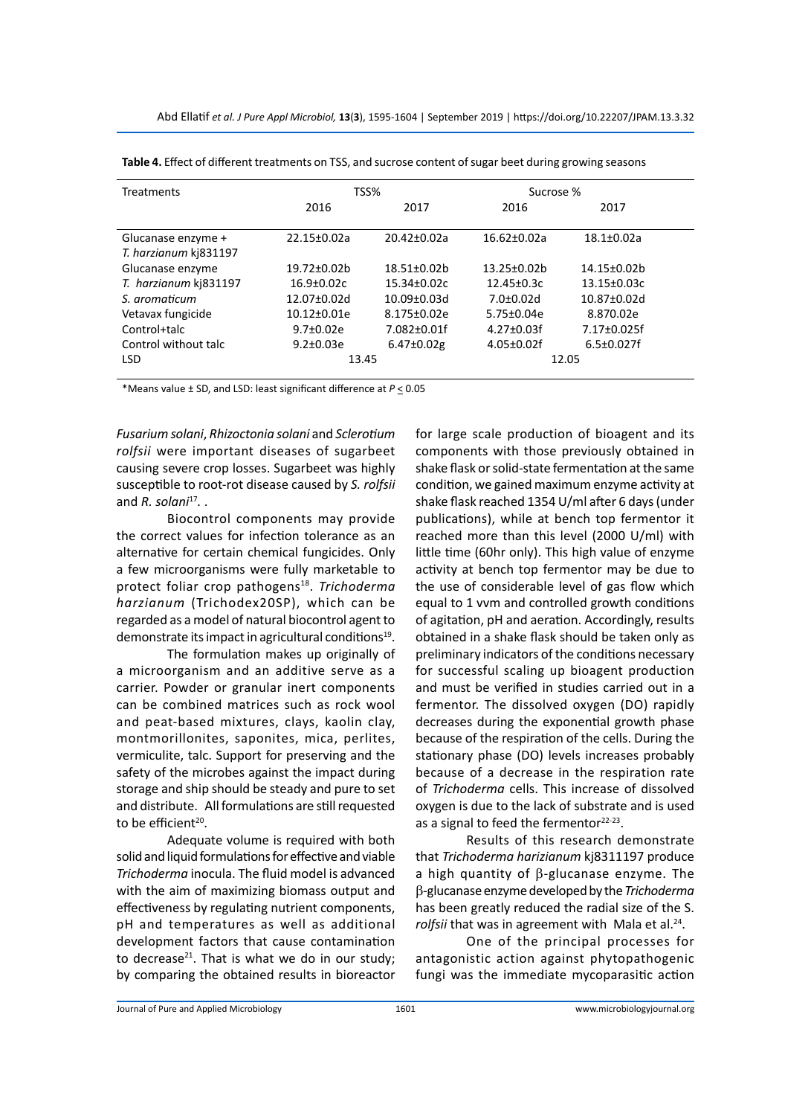| <b>Treatments</b>     | TSS%            |                    | Sucrose %         |                  |
|-----------------------|-----------------|--------------------|-------------------|------------------|
|                       | 2016            | 2017               | 2016              | 2017             |
| Glucanase enzyme +    | 22.15±0.02a     | $20.42 \pm 0.02a$  | $16.62 \pm 0.02a$ | $18.1 \pm 0.02a$ |
| T. harzianum kj831197 |                 |                    |                   |                  |
| Glucanase enzyme      | 19.72±0.02b     | 18.51±0.02b        | 13.25±0.02b       | 14.15±0.02b      |
| T. harzianum kj831197 | $16.9 + 0.02c$  | $15.34 \pm 0.02c$  | $12.45 \pm 0.3c$  | 13.15±0.03c      |
| S. aromaticum         | 12.07±0.02d     | $10.09 \pm 0.03$ d | $7.0 \pm 0.02$ d  | 10.87±0.02d      |
| Vetavax fungicide     | 10.12±0.01e     | 8.175±0.02e        | 5.75±0.04e        | 8.870.02e        |
| Control+talc          | $9.7 \pm 0.02e$ | 7.082±0.01f        | $4.27 \pm 0.03$ f | 7.17±0.025f      |
| Control without talc  | $9.2 \pm 0.03e$ | $6.47 \pm 0.02$ g  | $4.05 \pm 0.02$ f | $6.5 \pm 0.027f$ |
| <b>LSD</b>            | 13.45           |                    | 12.05             |                  |

| Table 4. Effect of different treatments on TSS, and sucrose content of sugar beet during growing seasons |  |  |  |
|----------------------------------------------------------------------------------------------------------|--|--|--|
|----------------------------------------------------------------------------------------------------------|--|--|--|

\*Means value ± SD, and LSD: least significant difference at *P* < 0.05

*Fusarium solani*, *Rhizoctonia solani* and *Sclerotium rolfsii* were important diseases of sugarbeet causing severe crop losses. Sugarbeet was highly susceptible to root-rot disease caused by *S. rolfsii* and *R. solani*<sup>17</sup>...

Biocontrol components may provide the correct values for infection tolerance as an alternative for certain chemical fungicides. Only a few microorganisms were fully marketable to protect foliar crop pathogens18. *Trichoderma harzianum* (Trichodex20SP), which can be regarded as a model of natural biocontrol agent to demonstrate its impact in agricultural conditions $19$ .

The formulation makes up originally of a microorganism and an additive serve as a carrier. Powder or granular inert components can be combined matrices such as rock wool and peat-based mixtures, clays, kaolin clay, montmorillonites, saponites, mica, perlites, vermiculite, talc. Support for preserving and the safety of the microbes against the impact during storage and ship should be steady and pure to set and distribute. All formulations are still requested to be efficient<sup>20</sup>.

Adequate volume is required with both solid and liquid formulations for effective and viable *Trichoderma* inocula. The fluid model is advanced with the aim of maximizing biomass output and effectiveness by regulating nutrient components, pH and temperatures as well as additional development factors that cause contamination to decrease $^{21}$ . That is what we do in our study; by comparing the obtained results in bioreactor for large scale production of bioagent and its components with those previously obtained in shake flask or solid-state fermentation at the same condition, we gained maximum enzyme activity at shake flask reached 1354 U/ml after 6 days (under publications), while at bench top fermentor it reached more than this level (2000 U/ml) with little time (60hr only). This high value of enzyme activity at bench top fermentor may be due to the use of considerable level of gas flow which equal to 1 vvm and controlled growth conditions of agitation, pH and aeration. Accordingly, results obtained in a shake flask should be taken only as preliminary indicators of the conditions necessary for successful scaling up bioagent production and must be verified in studies carried out in a fermentor. The dissolved oxygen (DO) rapidly decreases during the exponential growth phase because of the respiration of the cells. During the stationary phase (DO) levels increases probably because of a decrease in the respiration rate of *Trichoderma* cells. This increase of dissolved oxygen is due to the lack of substrate and is used as a signal to feed the fermentor $22-23$ .

Results of this research demonstrate that *Trichoderma harizianum* kj8311197 produce a high quantity of  $\beta$ -glucanase enzyme. The b-glucanaseenzyme developed by the *Trichoderma* has been greatly reduced the radial size of the S. rolfsii that was in agreement with Mala et al.<sup>24</sup>.

One of the principal processes for antagonistic action against phytopathogenic fungi was the immediate mycoparasitic action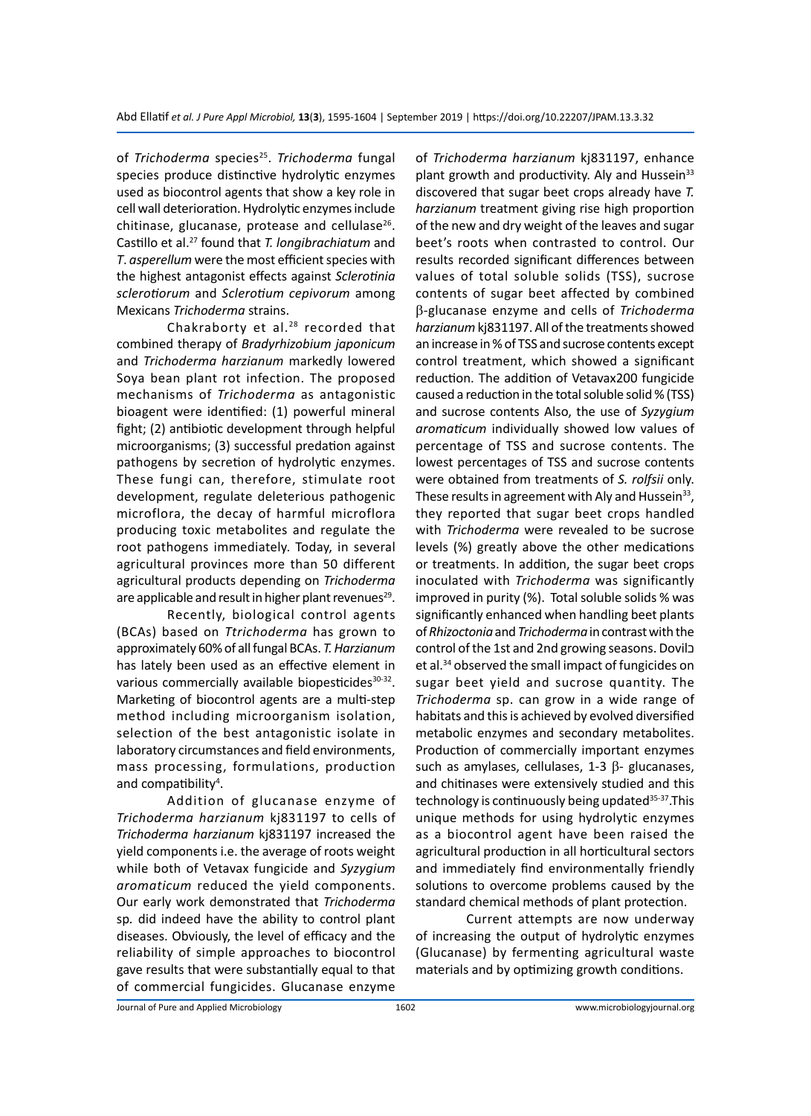of *Trichoderma* species<sup>25</sup>. *Trichoderma* fungal species produce distinctive hydrolytic enzymes used as biocontrol agents that show a key role in cell wall deterioration. Hydrolytic enzymes include chitinase, glucanase, protease and cellulase $26$ . Castillo et al.27 found that *T. longibrachiatum* and *T*. *asperellum* were the most efficient species with the highest antagonist effects against *Sclerotinia sclerotiorum* and *Sclerotium cepivorum* among Mexicans *Trichoderma* strains.

Chakraborty et al. $28$  recorded that combined therapy of *Bradyrhizobium japonicum* and *Trichoderma harzianum* markedly lowered Soya bean plant rot infection. The proposed mechanisms of *Trichoderma* as antagonistic bioagent were identified: (1) powerful mineral fight; (2) antibiotic development through helpful microorganisms; (3) successful predation against pathogens by secretion of hydrolytic enzymes. These fungi can, therefore, stimulate root development, regulate deleterious pathogenic microflora, the decay of harmful microflora producing toxic metabolites and regulate the root pathogens immediately. Today, in several agricultural provinces more than 50 different agricultural products depending on *Trichoderma* are applicable and result in higher plant revenues $^{29}$ .

Recently, biological control agents (BCAs) based on *Ttrichoderma* has grown to approximately 60% of all fungal BCAs. *T. Harzianum* has lately been used as an effective element in various commercially available biopesticides<sup>30-32</sup>. Marketing of biocontrol agents are a multi-step method including microorganism isolation, selection of the best antagonistic isolate in laboratory circumstances and field environments, mass processing, formulations, production and compatibility<sup>4</sup>.

Addition of glucanase enzyme of *Trichoderma harzianum* kj831197 to cells of *Trichoderma harzianum* kj831197 increased the yield components i.e. the average of roots weight while both of Vetavax fungicide and *Syzygium aromaticum* reduced the yield components. Our early work demonstrated that *Trichoderma*  sp*.* did indeed have the ability to control plant diseases. Obviously, the level of efficacy and the reliability of simple approaches to biocontrol gave results that were substantially equal to that of commercial fungicides. Glucanase enzyme of *Trichoderma harzianum* kj831197, enhance plant growth and productivity. Aly and Hussein<sup>33</sup> discovered that sugar beet crops already have *T. harzianum* treatment giving rise high proportion of the new and dry weight of the leaves and sugar beet's roots when contrasted to control. Our results recorded significant differences between values of total soluble solids (TSS), sucrose contents of sugar beet affected by combined b-glucanase enzyme and cells of *Trichoderma harzianum* kj831197. All of the treatments showed an increase in % of TSS and sucrose contents except control treatment, which showed a significant reduction. The addition of Vetavax200 fungicide caused a reduction in the total soluble solid % (TSS) and sucrose contents Also, the use of *Syzygium aromaticum* individually showed low values of percentage of TSS and sucrose contents. The lowest percentages of TSS and sucrose contents were obtained from treatments of *S. rolfsii* only. These results in agreement with Aly and Hussein $33$ , they reported that sugar beet crops handled with *Trichoderma* were revealed to be sucrose levels (%) greatly above the other medications or treatments. In addition, the sugar beet crops inoculated with *Trichoderma* was significantly improved in purity (%). Total soluble solids % was significantly enhanced when handling beet plants of *Rhizoctonia* and *Trichoderma* in contrast with the control of the 1st and 2nd growing seasons. Dovilכ et al.34 observed the small impact of fungicides on sugar beet yield and sucrose quantity. The *Trichoderma* sp. can grow in a wide range of habitats and this is achieved by evolved diversified metabolic enzymes and secondary metabolites. Production of commercially important enzymes such as amylases, cellulases,  $1-3$   $\beta$ - glucanases, and chitinases were extensively studied and this technology is continuously being updated<sup>35-37</sup>. This unique methods for using hydrolytic enzymes as a biocontrol agent have been raised the agricultural production in all horticultural sectors and immediately find environmentally friendly solutions to overcome problems caused by the standard chemical methods of plant protection.

Current attempts are now underway of increasing the output of hydrolytic enzymes (Glucanase) by fermenting agricultural waste materials and by optimizing growth conditions.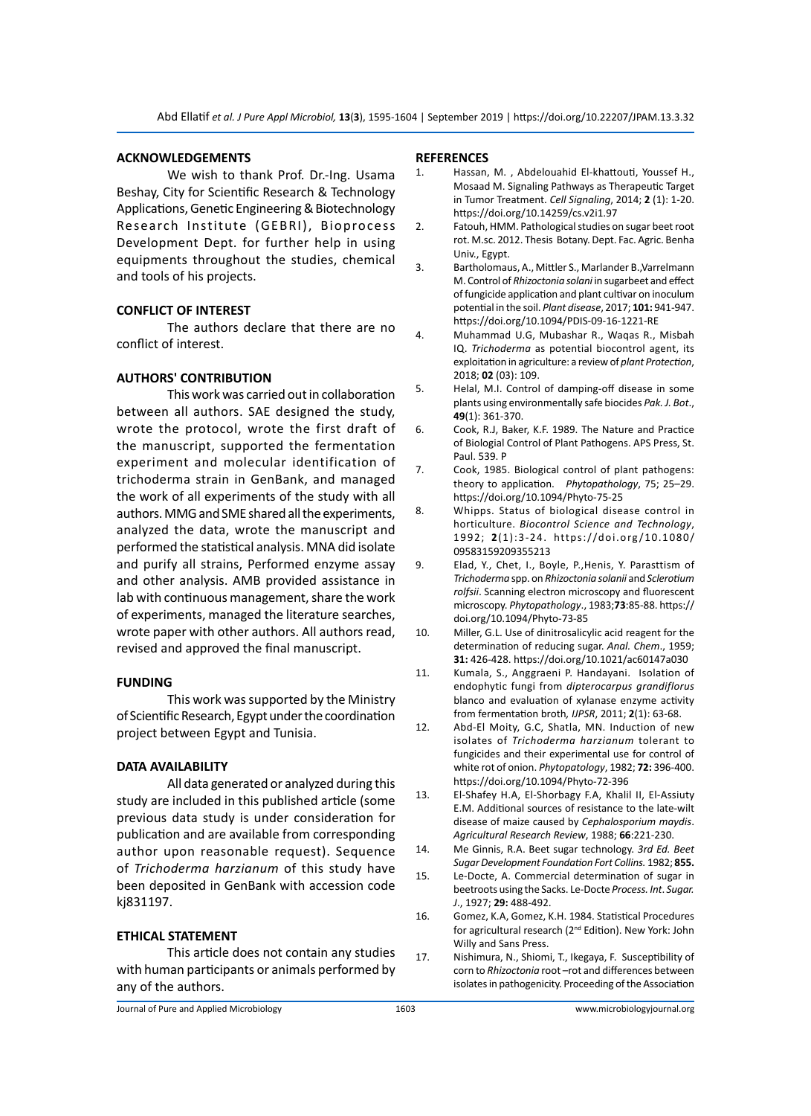#### **ACKNOWLEDGEMENTS**

We wish to thank Prof. Dr.-Ing. Usama Beshay, City for Scientific Research & Technology Applications, Genetic Engineering & Biotechnology Research Institute (GEBRI), Bioprocess Development Dept. for further help in using equipments throughout the studies, chemical and tools of his projects.

#### **CONFLICT OF INTEREST**

The authors declare that there are no conflict of interest.

#### **AUTHORS' CONTRIBUTION**

This work was carried out in collaboration between all authors. SAE designed the study, wrote the protocol, wrote the first draft of the manuscript, supported the fermentation experiment and molecular identification of trichoderma strain in GenBank, and managed the work of all experiments of the study with all authors. MMG and SME shared all the experiments, analyzed the data, wrote the manuscript and performed the statistical analysis. MNA did isolate and purify all strains, Performed enzyme assay and other analysis. AMB provided assistance in lab with continuous management, share the work of experiments, managed the literature searches, wrote paper with other authors. All authors read, revised and approved the final manuscript.

#### **FUNDING**

This work was supported by the Ministry of Scientific Research, Egypt under the coordination project between Egypt and Tunisia.

#### **DATA AVAILABILITY**

All data generated or analyzed during this study are included in this published article (some previous data study is under consideration for publication and are available from corresponding author upon reasonable request). Sequence of *Trichoderma harzianum* of this study have been deposited in GenBank with accession code kj831197.

#### **ETHICAL STATEMENT**

This article does not contain any studies with human participants or animals performed by any of the authors.

#### **REFERENCES**

- 1. Hassan, M. , Abdelouahid El-khattouti, Youssef H., Mosaad M. Signaling Pathways as Therapeutic Target in Tumor Treatment. *Cell Signaling*, 2014; **2** (1): 1-20. https://doi.org/10.14259/cs.v2i1.97
- 2. Fatouh, HMM. Pathological studies on sugar beet root rot. M.sc. 2012. Thesis Botany. Dept. Fac. Agric. Benha Univ., Egypt.
- 3. Bartholomaus, A., Mittler S., Marlander B.,Varrelmann M. Control of *Rhizoctonia solani* in sugarbeet and effect of fungicide application and plant cultivar on inoculum potential in the soil. *Plant disease*, 2017; **101:** 941-947. https://doi.org/10.1094/PDIS-09-16-1221-RE
- 4. Muhammad U.G, Mubashar R., Waqas R., Misbah IQ. *Trichoderma* as potential biocontrol agent, its exploitation in agriculture: a review of *plant Protection*, 2018; **02** (03): 109.
- 5. Helal, M.I. Control of damping-off disease in some plants using environmentally safe biocides *Pak. J. Bot*., **49**(1): 361-370.
- 6. Cook, R.J, Baker, K.F. 1989. The Nature and Practice of Biologial Control of Plant Pathogens. APS Press, St. Paul. 539. P
- 7. Cook, 1985. Biological control of plant pathogens: theory to application. *Phytopathology*, 75; 25–29. https://doi.org/10.1094/Phyto-75-25
- 8. Whipps. Status of biological disease control in horticulture. *Biocontrol Science and Technology*, 1992; **2**(1):3-24. https://doi.org /10.1080/ 09583159209355213
- 9. Elad, Y., Chet, I., Boyle, P.,Henis, Y. Parasttism of *Trichoderma* spp. on *Rhizoctonia solanii* and *Sclerotium rolfsii*. Scanning electron microscopy and fluorescent microscopy. *Phytopathology*., 1983;**73**:85-88. https:// doi.org/10.1094/Phyto-73-85
- 10. Miller, G.L. Use of dinitrosalicylic acid reagent for the determination of reducing sugar. *Anal. Chem*., 1959; **31:** 426-428. https://doi.org/10.1021/ac60147a030
- 11. Kumala, S., Anggraeni P. Handayani. Isolation of endophytic fungi from *dipterocarpus grandiflorus*  blanco and evaluation of xylanase enzyme activity from fermentation broth*, IJPSR*, 2011; **2**(1): 63-68.
- 12. Abd-El Moity, G.C, Shatla, MN. Induction of new isolates of *Trichoderma harzianum* tolerant to fungicides and their experimental use for control of white rot of onion. *Phytopatology*, 1982; **72:** 396-400. https://doi.org/10.1094/Phyto-72-396
- 13. El-Shafey H.A, El-Shorbagy F.A, Khalil II, El-Assiuty E.M. Additional sources of resistance to the late-wilt disease of maize caused by *Cephalosporium maydis*. *Agricultural Research Review*, 1988; **66**:221-230.
- 14. Me Ginnis, R.A. Beet sugar technology. *3rd Ed. Beet Sugar Development Foundation Fort Collins.* 1982; **855.**
- 15. Le-Docte, A. Commercial determination of sugar in beetroots using the Sacks. Le-Docte *Process. Int*. *Sugar. J*., 1927; **29:** 488-492.
- 16. Gomez, K.A, Gomez, K.H. 1984. Statistical Procedures for agricultural research (2nd Edition). New York: John Willy and Sans Press.
- 17. Nishimura, N., Shiomi, T., Ikegaya, F. Susceptibility of corn to *Rhizoctonia* root –rot and differences between isolates in pathogenicity. Proceeding of the Association